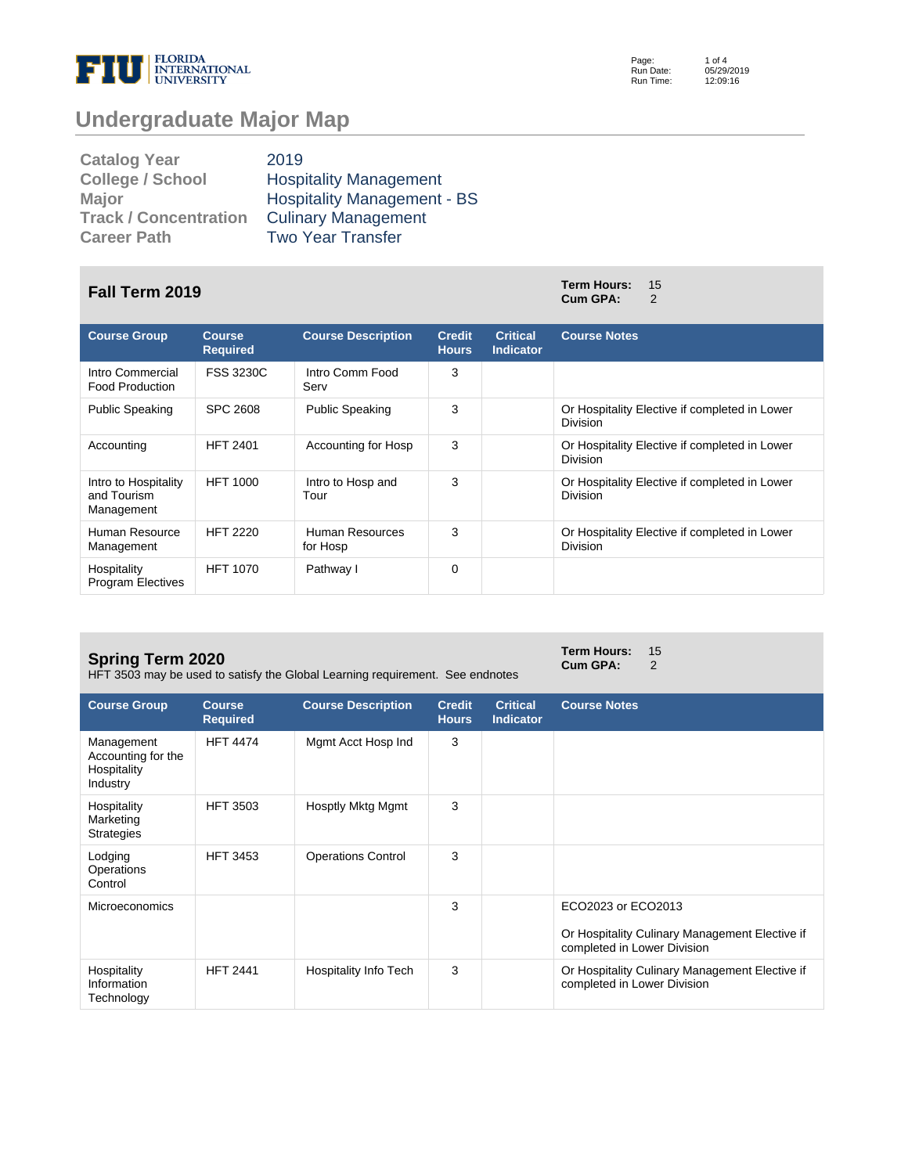

Page: Run Date: Run Time:

# **Undergraduate Major Map**

| <b>Catalog Year</b>          | 2019                               |
|------------------------------|------------------------------------|
| <b>College / School</b>      | <b>Hospitality Management</b>      |
| Major                        | <b>Hospitality Management - BS</b> |
| <b>Track / Concentration</b> | <b>Culinary Management</b>         |
| <b>Career Path</b>           | <b>Two Year Transfer</b>           |

## **Fall Term 2019 Term Hours:** <sup>15</sup>

| <b>Course Group</b>                               | <b>Course</b><br><b>Required</b> | <b>Course Description</b>   | <b>Credit</b><br><b>Hours</b> | <b>Critical</b><br><b>Indicator</b> | <b>Course Notes</b>                                              |
|---------------------------------------------------|----------------------------------|-----------------------------|-------------------------------|-------------------------------------|------------------------------------------------------------------|
| Intro Commercial<br><b>Food Production</b>        | <b>FSS 3230C</b>                 | Intro Comm Food<br>Serv     | 3                             |                                     |                                                                  |
| <b>Public Speaking</b>                            | SPC 2608                         | <b>Public Speaking</b>      | 3                             |                                     | Or Hospitality Elective if completed in Lower<br><b>Division</b> |
| Accounting                                        | <b>HFT 2401</b>                  | Accounting for Hosp         | 3                             |                                     | Or Hospitality Elective if completed in Lower<br><b>Division</b> |
| Intro to Hospitality<br>and Tourism<br>Management | <b>HFT 1000</b>                  | Intro to Hosp and<br>Tour   | 3                             |                                     | Or Hospitality Elective if completed in Lower<br><b>Division</b> |
| Human Resource<br>Management                      | <b>HFT 2220</b>                  | Human Resources<br>for Hosp | 3                             |                                     | Or Hospitality Elective if completed in Lower<br><b>Division</b> |
| Hospitality<br><b>Program Electives</b>           | <b>HFT 1070</b>                  | Pathway I                   | 0                             |                                     |                                                                  |

#### **Spring Term 2020**

HFT 3503 may be used to satisfy the Global Learning requirement. See endnotes

**Term Hours:** 15 **Cum GPA:** 2

**Cum GPA:** 

| <b>Course Group</b>                                         | <b>Course</b><br><b>Required</b> | <b>Course Description</b> | <b>Credit</b><br><b>Hours</b> | <b>Critical</b><br><b>Indicator</b> | <b>Course Notes</b>                                                                                 |
|-------------------------------------------------------------|----------------------------------|---------------------------|-------------------------------|-------------------------------------|-----------------------------------------------------------------------------------------------------|
| Management<br>Accounting for the<br>Hospitality<br>Industry | <b>HFT 4474</b>                  | Mgmt Acct Hosp Ind        | 3                             |                                     |                                                                                                     |
| Hospitality<br>Marketing<br><b>Strategies</b>               | <b>HFT 3503</b>                  | Hosptly Mktg Mgmt         | 3                             |                                     |                                                                                                     |
| Lodging<br>Operations<br>Control                            | <b>HFT 3453</b>                  | <b>Operations Control</b> | 3                             |                                     |                                                                                                     |
| <b>Microeconomics</b>                                       |                                  |                           | 3                             |                                     | ECO2023 or ECO2013<br>Or Hospitality Culinary Management Elective if<br>completed in Lower Division |
| Hospitality<br>Information<br>Technology                    | <b>HFT 2441</b>                  | Hospitality Info Tech     | 3                             |                                     | Or Hospitality Culinary Management Elective if<br>completed in Lower Division                       |

1 of 4 05/29/2019 12:09:16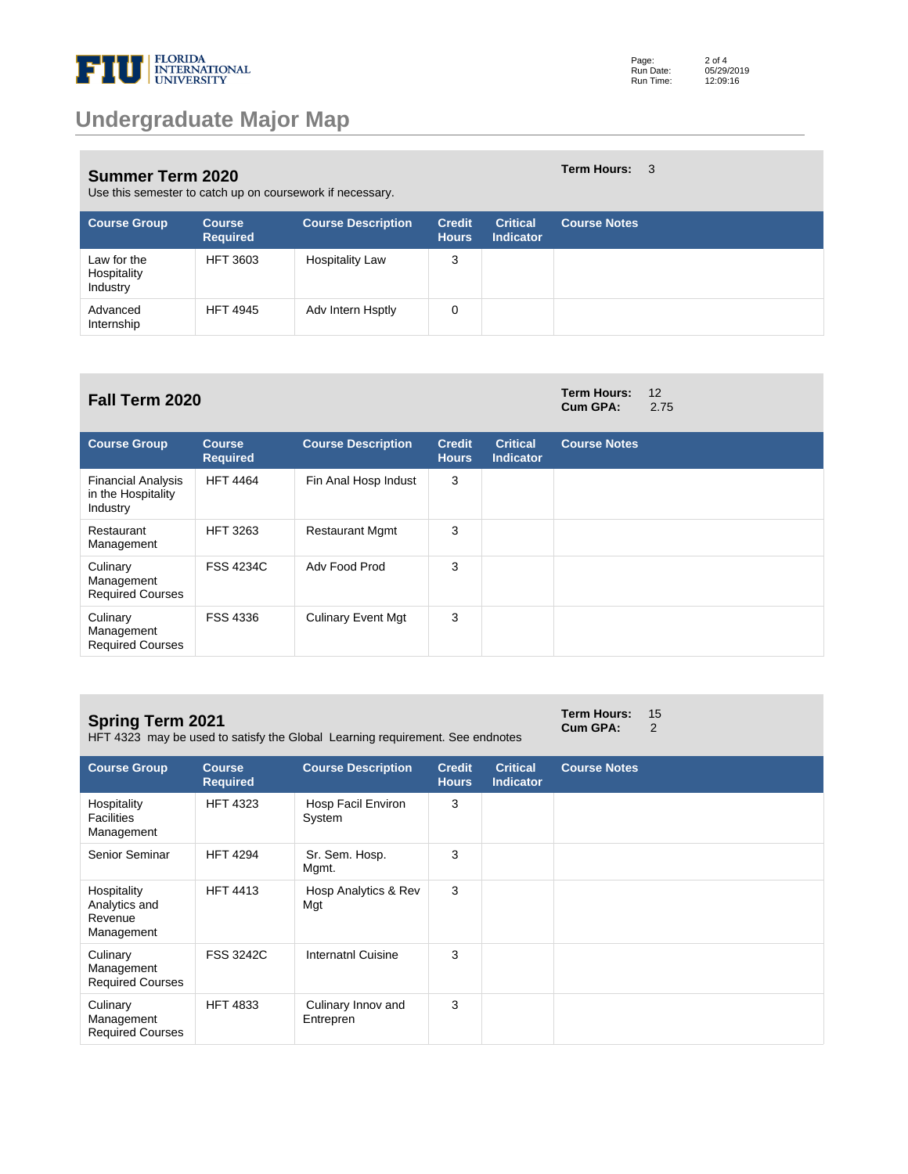

**Term Hours:** 3

**Cum GPA:** 2.75

#### **Summer Term 2020**

| Use this semester to catch up on coursework if necessary. |  |
|-----------------------------------------------------------|--|
|-----------------------------------------------------------|--|

| <b>Course Group</b>                    | <b>Course</b><br><b>Required</b> | <b>Course Description</b> | <b>Credit</b><br><b>Hours</b> | <b>Critical</b><br><b>Indicator</b> | <b>Course Notes</b> |
|----------------------------------------|----------------------------------|---------------------------|-------------------------------|-------------------------------------|---------------------|
| Law for the<br>Hospitality<br>Industry | <b>HFT 3603</b>                  | <b>Hospitality Law</b>    | 3                             |                                     |                     |
| Advanced<br>Internship                 | <b>HFT 4945</b>                  | Adv Intern Hsptly         | 0                             |                                     |                     |

# **Fall Term 2020 Term Hours:**  $12$  **Cum GPA:**  $2.75$

| <b>Course Group</b>                                         | <b>Course</b><br><b>Required</b> | <b>Course Description</b> | <b>Credit</b><br><b>Hours</b> | <b>Critical</b><br><b>Indicator</b> | <b>Course Notes</b> |
|-------------------------------------------------------------|----------------------------------|---------------------------|-------------------------------|-------------------------------------|---------------------|
| <b>Financial Analysis</b><br>in the Hospitality<br>Industry | <b>HFT 4464</b>                  | Fin Anal Hosp Indust      | 3                             |                                     |                     |
| Restaurant<br>Management                                    | <b>HFT 3263</b>                  | <b>Restaurant Mgmt</b>    | 3                             |                                     |                     |
| Culinary<br>Management<br><b>Required Courses</b>           | <b>FSS 4234C</b>                 | Adv Food Prod             | 3                             |                                     |                     |
| Culinary<br>Management<br><b>Required Courses</b>           | FSS 4336                         | <b>Culinary Event Mgt</b> | 3                             |                                     |                     |

#### **Spring Term 2021**

HFT 4323 may be used to satisfy the Global Learning requirement. See endnotes

**Term Hours:** 15 **Cum GPA:** 2

| <b>Course Group</b>                                   | <b>Course</b><br><b>Required</b> | <b>Course Description</b>       | <b>Credit</b><br><b>Hours</b> | <b>Critical</b><br><b>Indicator</b> | <b>Course Notes</b> |
|-------------------------------------------------------|----------------------------------|---------------------------------|-------------------------------|-------------------------------------|---------------------|
| Hospitality<br><b>Facilities</b><br>Management        | <b>HFT 4323</b>                  | Hosp Facil Environ<br>System    | 3                             |                                     |                     |
| Senior Seminar                                        | <b>HFT 4294</b>                  | Sr. Sem. Hosp.<br>Mgmt.         | 3                             |                                     |                     |
| Hospitality<br>Analytics and<br>Revenue<br>Management | <b>HFT 4413</b>                  | Hosp Analytics & Rev<br>Mgt     | 3                             |                                     |                     |
| Culinary<br>Management<br><b>Required Courses</b>     | <b>FSS 3242C</b>                 | <b>Internatnl Cuisine</b>       | 3                             |                                     |                     |
| Culinary<br>Management<br><b>Required Courses</b>     | <b>HFT 4833</b>                  | Culinary Innov and<br>Entrepren | 3                             |                                     |                     |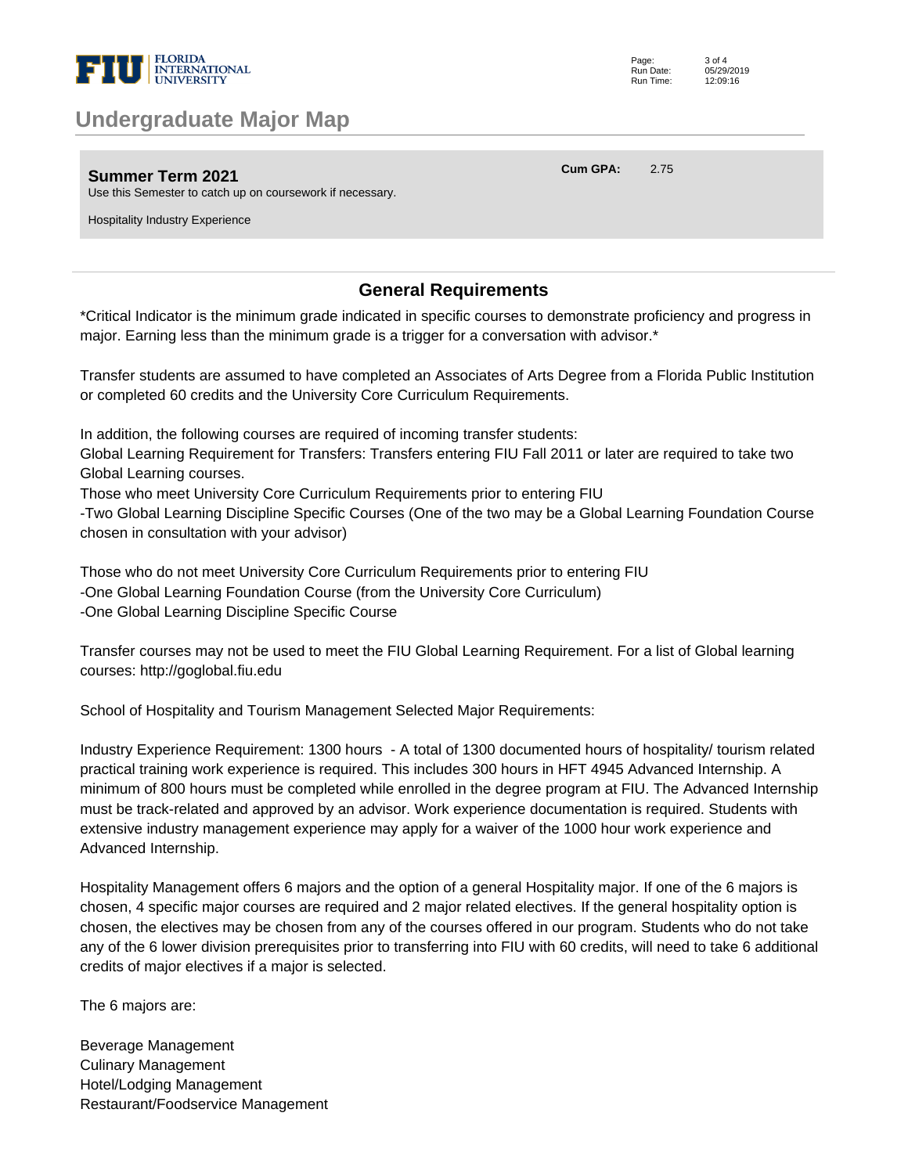

## **Undergraduate Major Map**

**Summer Term 2021**

Use this Semester to catch up on coursework if necessary.

Hospitality Industry Experience

### **General Requirements**

\*Critical Indicator is the minimum grade indicated in specific courses to demonstrate proficiency and progress in major. Earning less than the minimum grade is a trigger for a conversation with advisor.\* 

Transfer students are assumed to have completed an Associates of Arts Degree from a Florida Public Institution or completed 60 credits and the University Core Curriculum Requirements. 

In addition, the following courses are required of incoming transfer students: 

Global Learning Requirement for Transfers: Transfers entering FIU Fall 2011 or later are required to take two Global Learning courses. 

Those who meet University Core Curriculum Requirements prior to entering FIU 

-Two Global Learning Discipline Specific Courses (One of the two may be a Global Learning Foundation Course chosen in consultation with your advisor) 

Those who do not meet University Core Curriculum Requirements prior to entering FIU -One Global Learning Foundation Course (from the University Core Curriculum) -One Global Learning Discipline Specific Course 

Transfer courses may not be used to meet the FIU Global Learning Requirement. For a list of Global learning courses: http://goglobal.fiu.edu 

School of Hospitality and Tourism Management Selected Major Requirements: 

Industry Experience Requirement: 1300 hours - A total of 1300 documented hours of hospitality/ tourism related practical training work experience is required. This includes 300 hours in HFT 4945 Advanced Internship. A minimum of 800 hours must be completed while enrolled in the degree program at FIU. The Advanced Internship must be track-related and approved by an advisor. Work experience documentation is required. Students with extensive industry management experience may apply for a waiver of the 1000 hour work experience and Advanced Internship. 

Hospitality Management offers 6 majors and the option of a general Hospitality major. If one of the 6 majors is chosen, 4 specific major courses are required and 2 major related electives. If the general hospitality option is chosen, the electives may be chosen from any of the courses offered in our program. Students who do not take any of the 6 lower division prerequisites prior to transferring into FIU with 60 credits, will need to take 6 additional credits of major electives if a major is selected.

The 6 majors are:

Beverage Management Culinary Management Hotel/Lodging Management Restaurant/Foodservice Management **Cum GPA:** 2.75